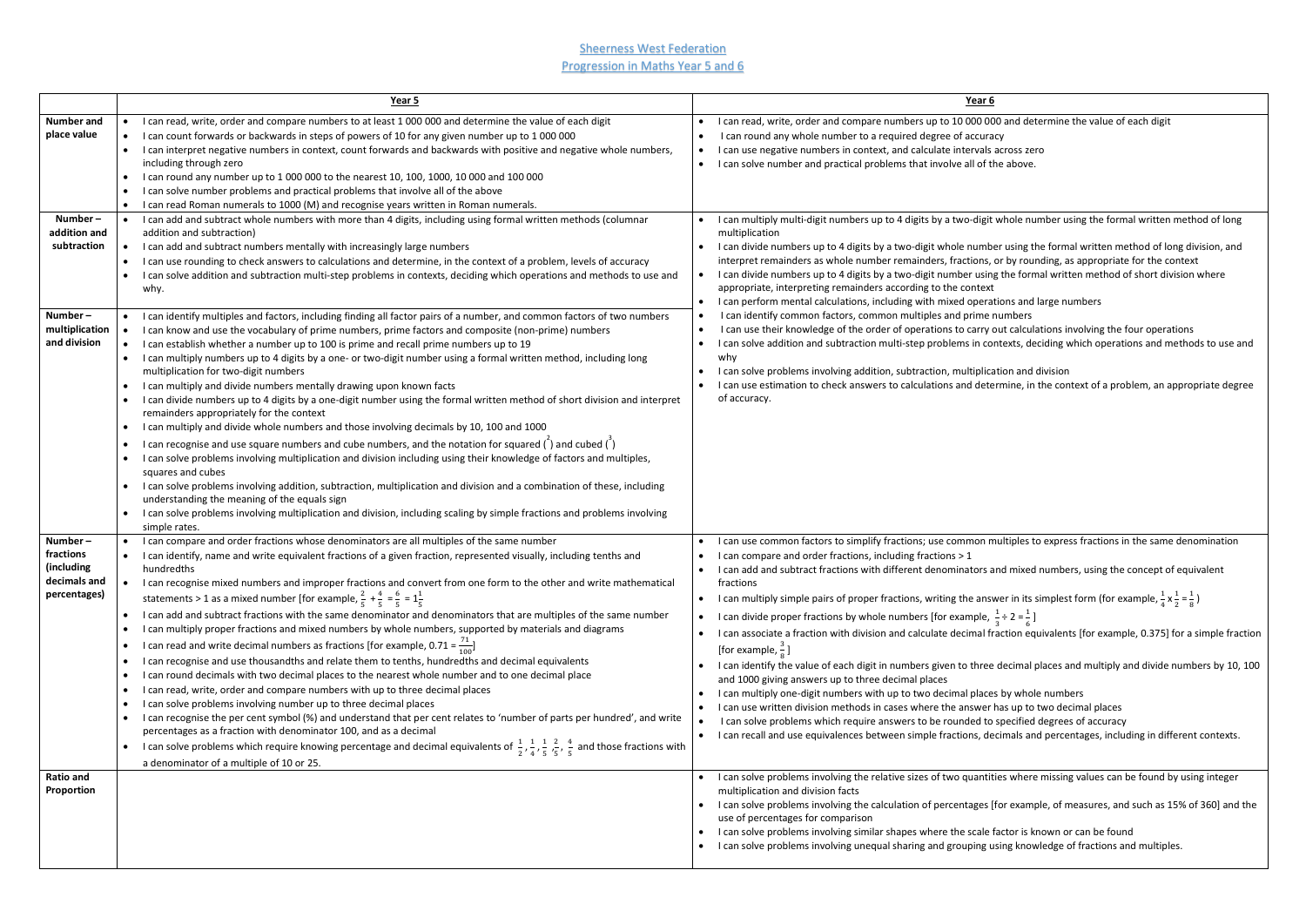**Sheerness West Federation** Progression in Maths Year 5 and 6

|                                                                                        | Year 5                                                                                                                                                                                                                                                                                                                                                                                                                                                                                                                                                                                                                                                                                                                                                                                                                                                                                                                                                                                                                                                                                                                                                                                                                                                                                                                                                                                                                                                                                                                                                                                            | Year 6                                                                                                                                                                                                                                                                                                                                                                                                                                                                                                                                                                                                                                                                                                                                                                                                                                                                                                                                                                                                                                                                                                                                                                                                                                                                                                                                     |
|----------------------------------------------------------------------------------------|---------------------------------------------------------------------------------------------------------------------------------------------------------------------------------------------------------------------------------------------------------------------------------------------------------------------------------------------------------------------------------------------------------------------------------------------------------------------------------------------------------------------------------------------------------------------------------------------------------------------------------------------------------------------------------------------------------------------------------------------------------------------------------------------------------------------------------------------------------------------------------------------------------------------------------------------------------------------------------------------------------------------------------------------------------------------------------------------------------------------------------------------------------------------------------------------------------------------------------------------------------------------------------------------------------------------------------------------------------------------------------------------------------------------------------------------------------------------------------------------------------------------------------------------------------------------------------------------------|--------------------------------------------------------------------------------------------------------------------------------------------------------------------------------------------------------------------------------------------------------------------------------------------------------------------------------------------------------------------------------------------------------------------------------------------------------------------------------------------------------------------------------------------------------------------------------------------------------------------------------------------------------------------------------------------------------------------------------------------------------------------------------------------------------------------------------------------------------------------------------------------------------------------------------------------------------------------------------------------------------------------------------------------------------------------------------------------------------------------------------------------------------------------------------------------------------------------------------------------------------------------------------------------------------------------------------------------|
| <b>Number and</b><br>place value                                                       | I can read, write, order and compare numbers to at least 1 000 000 and determine the value of each digit<br>I can count forwards or backwards in steps of powers of 10 for any given number up to 1 000 000<br>I can interpret negative numbers in context, count forwards and backwards with positive and negative whole numbers,<br>including through zero<br>I can round any number up to 1 000 000 to the nearest 10, 100, 1000, 10 000 and 100 000<br>I can solve number problems and practical problems that involve all of the above<br>I can read Roman numerals to 1000 (M) and recognise years written in Roman numerals.                                                                                                                                                                                                                                                                                                                                                                                                                                                                                                                                                                                                                                                                                                                                                                                                                                                                                                                                                               | I can read, write, order and compare numbers up to 10 000 000 and determine the value of each dig<br>I can round any whole number to a required degree of accuracy<br>I can use negative numbers in context, and calculate intervals across zero<br>I can solve number and practical problems that involve all of the above.                                                                                                                                                                                                                                                                                                                                                                                                                                                                                                                                                                                                                                                                                                                                                                                                                                                                                                                                                                                                               |
| Number-<br>addition and<br>subtraction                                                 | I can add and subtract whole numbers with more than 4 digits, including using formal written methods (columnar<br>addition and subtraction)<br>I can add and subtract numbers mentally with increasingly large numbers<br>I can use rounding to check answers to calculations and determine, in the context of a problem, levels of accuracy<br>I can solve addition and subtraction multi-step problems in contexts, deciding which operations and methods to use and<br>why.                                                                                                                                                                                                                                                                                                                                                                                                                                                                                                                                                                                                                                                                                                                                                                                                                                                                                                                                                                                                                                                                                                                    | I can multiply multi-digit numbers up to 4 digits by a two-digit whole number using the formal writte<br>multiplication<br>I can divide numbers up to 4 digits by a two-digit whole number using the formal written method of<br>interpret remainders as whole number remainders, fractions, or by rounding, as appropriate for the<br>I can divide numbers up to 4 digits by a two-digit number using the formal written method of short of<br>$\bullet$<br>appropriate, interpreting remainders according to the context<br>I can perform mental calculations, including with mixed operations and large numbers<br>I can identify common factors, common multiples and prime numbers<br>I can use their knowledge of the order of operations to carry out calculations involving the four oper<br>I can solve addition and subtraction multi-step problems in contexts, deciding which operations and<br>why<br>I can solve problems involving addition, subtraction, multiplication and division<br>I can use estimation to check answers to calculations and determine, in the context of a problem, an<br>of accuracy.                                                                                                                                                                                                               |
| Number-<br>multiplication<br>and division                                              | I can identify multiples and factors, including finding all factor pairs of a number, and common factors of two numbers<br>I can know and use the vocabulary of prime numbers, prime factors and composite (non-prime) numbers<br>I can establish whether a number up to 100 is prime and recall prime numbers up to 19<br>I can multiply numbers up to 4 digits by a one- or two-digit number using a formal written method, including long<br>multiplication for two-digit numbers<br>I can multiply and divide numbers mentally drawing upon known facts<br>I can divide numbers up to 4 digits by a one-digit number using the formal written method of short division and interpret<br>remainders appropriately for the context<br>I can multiply and divide whole numbers and those involving decimals by 10, 100 and 1000<br>I can recognise and use square numbers and cube numbers, and the notation for squared $($ $)$ and cubed $($ $)$<br>I can solve problems involving multiplication and division including using their knowledge of factors and multiples,<br>squares and cubes<br>I can solve problems involving addition, subtraction, multiplication and division and a combination of these, including<br>understanding the meaning of the equals sign<br>I can solve problems involving multiplication and division, including scaling by simple fractions and problems involving<br>simple rates.                                                                                                                                                                          |                                                                                                                                                                                                                                                                                                                                                                                                                                                                                                                                                                                                                                                                                                                                                                                                                                                                                                                                                                                                                                                                                                                                                                                                                                                                                                                                            |
| Number-<br>fractions<br>(including<br>decimals and<br>percentages)<br><b>Ratio and</b> | I can compare and order fractions whose denominators are all multiples of the same number<br>I can identify, name and write equivalent fractions of a given fraction, represented visually, including tenths and<br>hundredths<br>I can recognise mixed numbers and improper fractions and convert from one form to the other and write mathematical<br>statements > 1 as a mixed number [for example, $\frac{2}{5} + \frac{4}{5} = \frac{6}{5} = 1\frac{1}{5}$<br>I can add and subtract fractions with the same denominator and denominators that are multiples of the same number<br>I can multiply proper fractions and mixed numbers by whole numbers, supported by materials and diagrams<br>I can read and write decimal numbers as fractions [for example, 0.71 = $\frac{71}{100}$ ]<br>I can recognise and use thousandths and relate them to tenths, hundredths and decimal equivalents<br>I can round decimals with two decimal places to the nearest whole number and to one decimal place<br>I can read, write, order and compare numbers with up to three decimal places<br>I can solve problems involving number up to three decimal places<br>I can recognise the per cent symbol (%) and understand that per cent relates to 'number of parts per hundred', and write<br>percentages as a fraction with denominator 100, and as a decimal<br>I can solve problems which require knowing percentage and decimal equivalents of $\frac{1}{2}$ , $\frac{1}{4}$ , $\frac{1}{5}$ , $\frac{2}{5}$ , $\frac{4}{5}$ and those fractions with<br>a denominator of a multiple of 10 or 25. | I can use common factors to simplify fractions; use common multiples to express fractions in the san<br>I can compare and order fractions, including fractions > 1<br>• I can add and subtract fractions with different denominators and mixed numbers, using the concept<br>fractions<br>I can multiply simple pairs of proper fractions, writing the answer in its simplest form (for example, $\frac{1}{2}$<br>I can divide proper fractions by whole numbers [for example, $\frac{1}{2} \div 2 = \frac{1}{6}$ ]<br>I can associate a fraction with division and calculate decimal fraction equivalents [for example, 0.375<br>[for example, $\frac{3}{8}$ ]<br>I can identify the value of each digit in numbers given to three decimal places and multiply and divid<br>and 1000 giving answers up to three decimal places<br>I can multiply one-digit numbers with up to two decimal places by whole numbers<br>I can use written division methods in cases where the answer has up to two decimal places<br>I can solve problems which require answers to be rounded to specified degrees of accuracy<br>I can recall and use equivalences between simple fractions, decimals and percentages, including in d<br>$\bullet$<br>I can solve problems involving the relative sizes of two quantities where missing values can be found |
| Proportion                                                                             |                                                                                                                                                                                                                                                                                                                                                                                                                                                                                                                                                                                                                                                                                                                                                                                                                                                                                                                                                                                                                                                                                                                                                                                                                                                                                                                                                                                                                                                                                                                                                                                                   | multiplication and division facts<br>I can solve problems involving the calculation of percentages [for example, of measures, and such as<br>use of percentages for comparison<br>I can solve problems involving similar shapes where the scale factor is known or can be found<br>I can solve problems involving unequal sharing and grouping using knowledge of fractions and multip                                                                                                                                                                                                                                                                                                                                                                                                                                                                                                                                                                                                                                                                                                                                                                                                                                                                                                                                                     |

git whole number using the formal written method of long

- nber using the formal written method of long division, and is, or by rounding, as appropriate for the context
- sing the formal written method of short division where
- rations and large numbers
- e numbers
- ry out calculations involving the four operations
- contexts, deciding which operations and methods to use and
- lication and division
- etermine, in the context of a problem, an appropriate degree

multiples to express fractions in the same denomination

I and mixed numbers, using the concept of equivalent

 $\frac{1}{4}$  X  $\frac{1}{2}$  $\frac{1}{2} = \frac{1}{8}$  $\frac{1}{8}$  $\frac{1}{3} \div 2 = \frac{1}{6}$ ]

I fraction equivalents [for example, 0.375] for a simple fraction

ee decimal places and multiply and divide numbers by 10, 100

- ces by whole numbers
- er has up to two decimal places
- to specified degrees of accuracy
- decimals and percentages, including in different contexts.

tities where missing values can be found by using integer

 $s$  [for example, of measures, and such as 15% of 360] and the

le factor is known or can be found using knowledge of fractions and multiples.